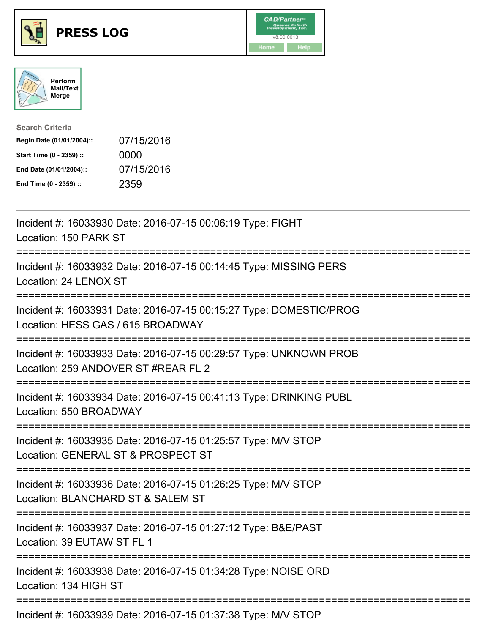





| <b>Search Criteria</b>    |            |
|---------------------------|------------|
| Begin Date (01/01/2004):: | 07/15/2016 |
| Start Time (0 - 2359) ::  | 0000       |
| End Date (01/01/2004)::   | 07/15/2016 |
| End Time (0 - 2359) ::    | 2359       |

| Incident #: 16033930 Date: 2016-07-15 00:06:19 Type: FIGHT<br>Location: 150 PARK ST                                                      |
|------------------------------------------------------------------------------------------------------------------------------------------|
| Incident #: 16033932 Date: 2016-07-15 00:14:45 Type: MISSING PERS<br>Location: 24 LENOX ST                                               |
| Incident #: 16033931 Date: 2016-07-15 00:15:27 Type: DOMESTIC/PROG<br>Location: HESS GAS / 615 BROADWAY<br>============================  |
| Incident #: 16033933 Date: 2016-07-15 00:29:57 Type: UNKNOWN PROB<br>Location: 259 ANDOVER ST #REAR FL 2<br>========================     |
| Incident #: 16033934 Date: 2016-07-15 00:41:13 Type: DRINKING PUBL<br>Location: 550 BROADWAY                                             |
| Incident #: 16033935 Date: 2016-07-15 01:25:57 Type: M/V STOP<br>Location: GENERAL ST & PROSPECT ST                                      |
| :=================================<br>Incident #: 16033936 Date: 2016-07-15 01:26:25 Type: M/V STOP<br>Location: BLANCHARD ST & SALEM ST |
| Incident #: 16033937 Date: 2016-07-15 01:27:12 Type: B&E/PAST<br>Location: 39 EUTAW ST FL 1                                              |
| Incident #: 16033938 Date: 2016-07-15 01:34:28 Type: NOISE ORD<br>Location: 134 HIGH ST                                                  |
| $I_{\text{no}}$ dent # $I_{\text{no}}$ 40000000 Deter 2016 07.45.04.07.00 Tune MALCTOD                                                   |

Incident #: 16033939 Date: 2016-07-15 01:37:38 Type: M/V STOP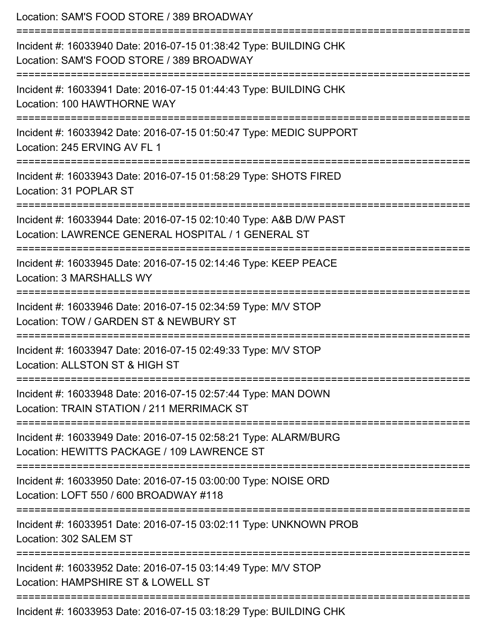| Location: SAM'S FOOD STORE / 389 BROADWAY<br>===========================<br>---------------------------                                           |
|---------------------------------------------------------------------------------------------------------------------------------------------------|
| Incident #: 16033940 Date: 2016-07-15 01:38:42 Type: BUILDING CHK<br>Location: SAM'S FOOD STORE / 389 BROADWAY<br>:=============================  |
| Incident #: 16033941 Date: 2016-07-15 01:44:43 Type: BUILDING CHK<br>Location: 100 HAWTHORNE WAY                                                  |
| Incident #: 16033942 Date: 2016-07-15 01:50:47 Type: MEDIC SUPPORT<br>Location: 245 ERVING AV FL 1                                                |
| Incident #: 16033943 Date: 2016-07-15 01:58:29 Type: SHOTS FIRED<br>Location: 31 POPLAR ST                                                        |
| Incident #: 16033944 Date: 2016-07-15 02:10:40 Type: A&B D/W PAST<br>Location: LAWRENCE GENERAL HOSPITAL / 1 GENERAL ST<br>====================== |
| Incident #: 16033945 Date: 2016-07-15 02:14:46 Type: KEEP PEACE<br>Location: 3 MARSHALLS WY                                                       |
| Incident #: 16033946 Date: 2016-07-15 02:34:59 Type: M/V STOP<br>Location: TOW / GARDEN ST & NEWBURY ST                                           |
| Incident #: 16033947 Date: 2016-07-15 02:49:33 Type: M/V STOP<br>Location: ALLSTON ST & HIGH ST                                                   |
| Incident #: 16033948 Date: 2016-07-15 02:57:44 Type: MAN DOWN<br>Location: TRAIN STATION / 211 MERRIMACK ST                                       |
| Incident #: 16033949 Date: 2016-07-15 02:58:21 Type: ALARM/BURG<br>Location: HEWITTS PACKAGE / 109 LAWRENCE ST                                    |
| Incident #: 16033950 Date: 2016-07-15 03:00:00 Type: NOISE ORD<br>Location: LOFT 550 / 600 BROADWAY #118                                          |
| Incident #: 16033951 Date: 2016-07-15 03:02:11 Type: UNKNOWN PROB<br>Location: 302 SALEM ST                                                       |
| Incident #: 16033952 Date: 2016-07-15 03:14:49 Type: M/V STOP<br>Location: HAMPSHIRE ST & LOWELL ST                                               |
| Incident #: 16033953 Date: 2016-07-15 03:18:29 Type: BUILDING CHK                                                                                 |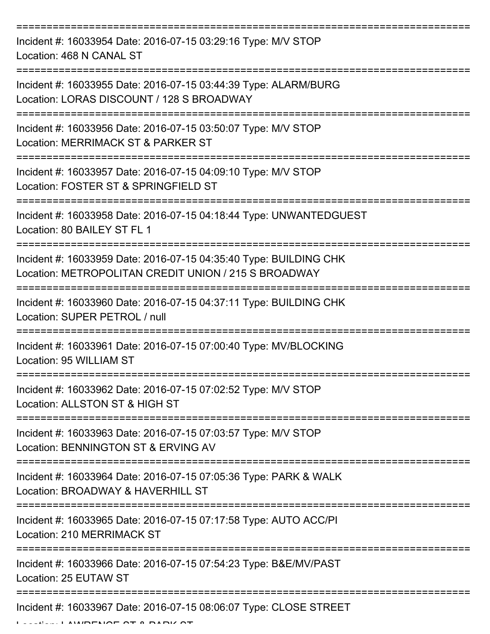| Incident #: 16033954 Date: 2016-07-15 03:29:16 Type: M/V STOP<br>Location: 468 N CANAL ST                                 |
|---------------------------------------------------------------------------------------------------------------------------|
| Incident #: 16033955 Date: 2016-07-15 03:44:39 Type: ALARM/BURG<br>Location: LORAS DISCOUNT / 128 S BROADWAY              |
| Incident #: 16033956 Date: 2016-07-15 03:50:07 Type: M/V STOP<br>Location: MERRIMACK ST & PARKER ST                       |
| Incident #: 16033957 Date: 2016-07-15 04:09:10 Type: M/V STOP<br>Location: FOSTER ST & SPRINGFIELD ST                     |
| Incident #: 16033958 Date: 2016-07-15 04:18:44 Type: UNWANTEDGUEST<br>Location: 80 BAILEY ST FL 1                         |
| Incident #: 16033959 Date: 2016-07-15 04:35:40 Type: BUILDING CHK<br>Location: METROPOLITAN CREDIT UNION / 215 S BROADWAY |
| Incident #: 16033960 Date: 2016-07-15 04:37:11 Type: BUILDING CHK<br>Location: SUPER PETROL / null                        |
| Incident #: 16033961 Date: 2016-07-15 07:00:40 Type: MV/BLOCKING<br>Location: 95 WILLIAM ST                               |
| Incident #: 16033962 Date: 2016-07-15 07:02:52 Type: M/V STOP<br>Location: ALLSTON ST & HIGH ST                           |
| Incident #: 16033963 Date: 2016-07-15 07:03:57 Type: M/V STOP<br>Location: BENNINGTON ST & ERVING AV                      |
| Incident #: 16033964 Date: 2016-07-15 07:05:36 Type: PARK & WALK<br>Location: BROADWAY & HAVERHILL ST                     |
| Incident #: 16033965 Date: 2016-07-15 07:17:58 Type: AUTO ACC/PI<br>Location: 210 MERRIMACK ST                            |
| Incident #: 16033966 Date: 2016-07-15 07:54:23 Type: B&E/MV/PAST<br>Location: 25 EUTAW ST                                 |
| Incident #: 16033967 Date: 2016-07-15 08:06:07 Type: CLOSE STREET                                                         |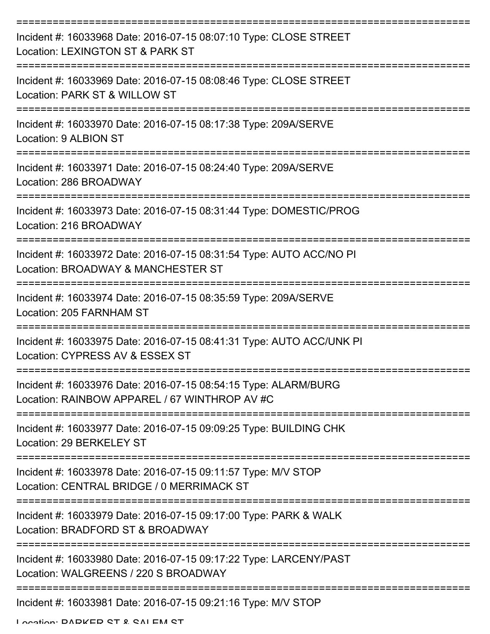| Incident #: 16033968 Date: 2016-07-15 08:07:10 Type: CLOSE STREET<br>Location: LEXINGTON ST & PARK ST            |
|------------------------------------------------------------------------------------------------------------------|
| Incident #: 16033969 Date: 2016-07-15 08:08:46 Type: CLOSE STREET<br>Location: PARK ST & WILLOW ST               |
| Incident #: 16033970 Date: 2016-07-15 08:17:38 Type: 209A/SERVE<br>Location: 9 ALBION ST                         |
| Incident #: 16033971 Date: 2016-07-15 08:24:40 Type: 209A/SERVE<br>Location: 286 BROADWAY                        |
| Incident #: 16033973 Date: 2016-07-15 08:31:44 Type: DOMESTIC/PROG<br>Location: 216 BROADWAY                     |
| Incident #: 16033972 Date: 2016-07-15 08:31:54 Type: AUTO ACC/NO PI<br>Location: BROADWAY & MANCHESTER ST        |
| Incident #: 16033974 Date: 2016-07-15 08:35:59 Type: 209A/SERVE<br>Location: 205 FARNHAM ST                      |
| Incident #: 16033975 Date: 2016-07-15 08:41:31 Type: AUTO ACC/UNK PI<br>Location: CYPRESS AV & ESSEX ST          |
| Incident #: 16033976 Date: 2016-07-15 08:54:15 Type: ALARM/BURG<br>Location: RAINBOW APPAREL / 67 WINTHROP AV #C |
| Incident #: 16033977 Date: 2016-07-15 09:09:25 Type: BUILDING CHK<br>Location: 29 BERKELEY ST                    |
| Incident #: 16033978 Date: 2016-07-15 09:11:57 Type: M/V STOP<br>Location: CENTRAL BRIDGE / 0 MERRIMACK ST       |
| Incident #: 16033979 Date: 2016-07-15 09:17:00 Type: PARK & WALK<br>Location: BRADFORD ST & BROADWAY             |
| Incident #: 16033980 Date: 2016-07-15 09:17:22 Type: LARCENY/PAST<br>Location: WALGREENS / 220 S BROADWAY        |
| Incident #: 16033981 Date: 2016-07-15 09:21:16 Type: M/V STOP                                                    |

Location: DADKED CT & CALEM CT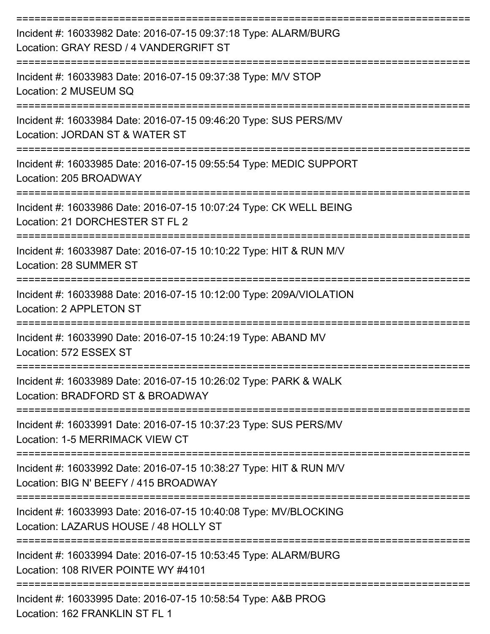| Incident #: 16033982 Date: 2016-07-15 09:37:18 Type: ALARM/BURG<br>Location: GRAY RESD / 4 VANDERGRIFT ST   |
|-------------------------------------------------------------------------------------------------------------|
| Incident #: 16033983 Date: 2016-07-15 09:37:38 Type: M/V STOP<br>Location: 2 MUSEUM SQ                      |
| Incident #: 16033984 Date: 2016-07-15 09:46:20 Type: SUS PERS/MV<br>Location: JORDAN ST & WATER ST          |
| Incident #: 16033985 Date: 2016-07-15 09:55:54 Type: MEDIC SUPPORT<br>Location: 205 BROADWAY                |
| Incident #: 16033986 Date: 2016-07-15 10:07:24 Type: CK WELL BEING<br>Location: 21 DORCHESTER ST FL 2       |
| Incident #: 16033987 Date: 2016-07-15 10:10:22 Type: HIT & RUN M/V<br>Location: 28 SUMMER ST                |
| Incident #: 16033988 Date: 2016-07-15 10:12:00 Type: 209A/VIOLATION<br>Location: 2 APPLETON ST              |
| Incident #: 16033990 Date: 2016-07-15 10:24:19 Type: ABAND MV<br>Location: 572 ESSEX ST                     |
| Incident #: 16033989 Date: 2016-07-15 10:26:02 Type: PARK & WALK<br>Location: BRADFORD ST & BROADWAY        |
| Incident #: 16033991 Date: 2016-07-15 10:37:23 Type: SUS PERS/MV<br>Location: 1-5 MERRIMACK VIEW CT         |
| Incident #: 16033992 Date: 2016-07-15 10:38:27 Type: HIT & RUN M/V<br>Location: BIG N' BEEFY / 415 BROADWAY |
| Incident #: 16033993 Date: 2016-07-15 10:40:08 Type: MV/BLOCKING<br>Location: LAZARUS HOUSE / 48 HOLLY ST   |
| Incident #: 16033994 Date: 2016-07-15 10:53:45 Type: ALARM/BURG<br>Location: 108 RIVER POINTE WY #4101      |
| Incident #: 16033995 Date: 2016-07-15 10:58:54 Type: A&B PROG                                               |

Location: 162 FRANKLIN ST FL 1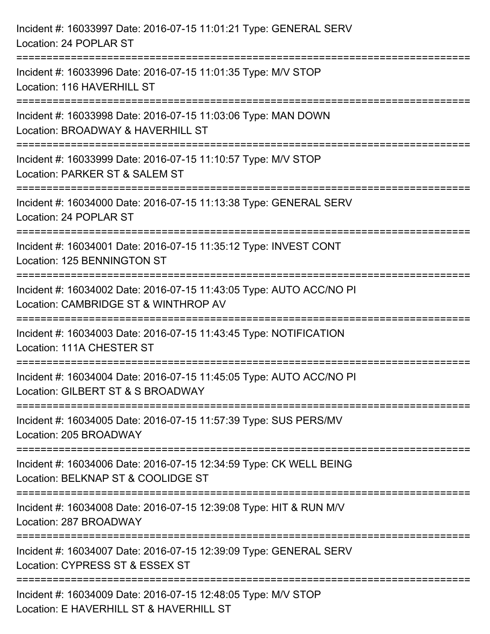| Incident #: 16033997 Date: 2016-07-15 11:01:21 Type: GENERAL SERV<br>Location: 24 POPLAR ST                            |
|------------------------------------------------------------------------------------------------------------------------|
| Incident #: 16033996 Date: 2016-07-15 11:01:35 Type: M/V STOP<br>Location: 116 HAVERHILL ST                            |
| Incident #: 16033998 Date: 2016-07-15 11:03:06 Type: MAN DOWN<br>Location: BROADWAY & HAVERHILL ST                     |
| Incident #: 16033999 Date: 2016-07-15 11:10:57 Type: M/V STOP<br>Location: PARKER ST & SALEM ST<br>------------------- |
| Incident #: 16034000 Date: 2016-07-15 11:13:38 Type: GENERAL SERV<br>Location: 24 POPLAR ST                            |
| Incident #: 16034001 Date: 2016-07-15 11:35:12 Type: INVEST CONT<br>Location: 125 BENNINGTON ST                        |
| Incident #: 16034002 Date: 2016-07-15 11:43:05 Type: AUTO ACC/NO PI<br>Location: CAMBRIDGE ST & WINTHROP AV            |
| Incident #: 16034003 Date: 2016-07-15 11:43:45 Type: NOTIFICATION<br>Location: 111A CHESTER ST                         |
| Incident #: 16034004 Date: 2016-07-15 11:45:05 Type: AUTO ACC/NO PI<br>Location: GILBERT ST & S BROADWAY               |
| Incident #: 16034005 Date: 2016-07-15 11:57:39 Type: SUS PERS/MV<br>Location: 205 BROADWAY                             |
| Incident #: 16034006 Date: 2016-07-15 12:34:59 Type: CK WELL BEING<br>Location: BELKNAP ST & COOLIDGE ST               |
| Incident #: 16034008 Date: 2016-07-15 12:39:08 Type: HIT & RUN M/V<br>Location: 287 BROADWAY                           |
| Incident #: 16034007 Date: 2016-07-15 12:39:09 Type: GENERAL SERV<br>Location: CYPRESS ST & ESSEX ST                   |
| Incident #: 16034009 Date: 2016-07-15 12:48:05 Type: M/V STOP<br>Location: E HAVERHILL ST & HAVERHILL ST               |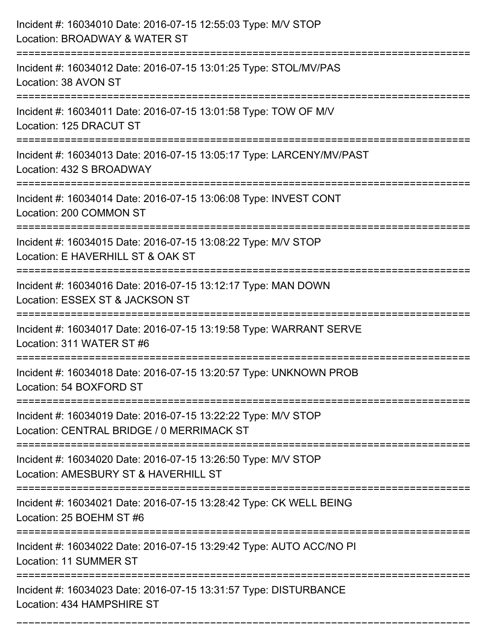| Incident #: 16034010 Date: 2016-07-15 12:55:03 Type: M/V STOP<br>Location: BROADWAY & WATER ST                                                |
|-----------------------------------------------------------------------------------------------------------------------------------------------|
| Incident #: 16034012 Date: 2016-07-15 13:01:25 Type: STOL/MV/PAS<br>Location: 38 AVON ST                                                      |
| Incident #: 16034011 Date: 2016-07-15 13:01:58 Type: TOW OF M/V<br>Location: 125 DRACUT ST                                                    |
| Incident #: 16034013 Date: 2016-07-15 13:05:17 Type: LARCENY/MV/PAST<br>Location: 432 S BROADWAY                                              |
| Incident #: 16034014 Date: 2016-07-15 13:06:08 Type: INVEST CONT<br>Location: 200 COMMON ST                                                   |
| Incident #: 16034015 Date: 2016-07-15 13:08:22 Type: M/V STOP<br>Location: E HAVERHILL ST & OAK ST                                            |
| Incident #: 16034016 Date: 2016-07-15 13:12:17 Type: MAN DOWN<br>Location: ESSEX ST & JACKSON ST                                              |
| Incident #: 16034017 Date: 2016-07-15 13:19:58 Type: WARRANT SERVE<br>Location: 311 WATER ST #6                                               |
| Incident #: 16034018 Date: 2016-07-15 13:20:57 Type: UNKNOWN PROB<br>Location: 54 BOXFORD ST                                                  |
| Incident #: 16034019 Date: 2016-07-15 13:22:22 Type: M/V STOP<br>Location: CENTRAL BRIDGE / 0 MERRIMACK ST<br>=============================== |
| Incident #: 16034020 Date: 2016-07-15 13:26:50 Type: M/V STOP<br>Location: AMESBURY ST & HAVERHILL ST<br>=========================            |
| Incident #: 16034021 Date: 2016-07-15 13:28:42 Type: CK WELL BEING<br>Location: 25 BOEHM ST #6                                                |
| Incident #: 16034022 Date: 2016-07-15 13:29:42 Type: AUTO ACC/NO PI<br>Location: 11 SUMMER ST                                                 |
| Incident #: 16034023 Date: 2016-07-15 13:31:57 Type: DISTURBANCE<br>Location: 434 HAMPSHIRE ST                                                |

===========================================================================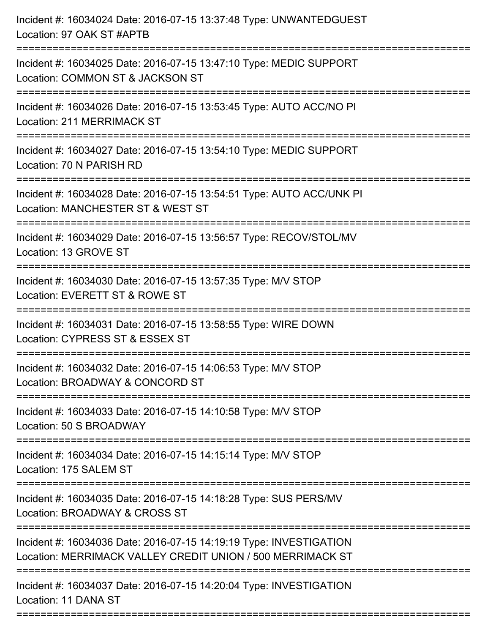| Incident #: 16034024 Date: 2016-07-15 13:37:48 Type: UNWANTEDGUEST<br>Location: 97 OAK ST #APTB                                  |
|----------------------------------------------------------------------------------------------------------------------------------|
| Incident #: 16034025 Date: 2016-07-15 13:47:10 Type: MEDIC SUPPORT<br>Location: COMMON ST & JACKSON ST                           |
| Incident #: 16034026 Date: 2016-07-15 13:53:45 Type: AUTO ACC/NO PI<br><b>Location: 211 MERRIMACK ST</b>                         |
| Incident #: 16034027 Date: 2016-07-15 13:54:10 Type: MEDIC SUPPORT<br>Location: 70 N PARISH RD                                   |
| Incident #: 16034028 Date: 2016-07-15 13:54:51 Type: AUTO ACC/UNK PI<br>Location: MANCHESTER ST & WEST ST                        |
| Incident #: 16034029 Date: 2016-07-15 13:56:57 Type: RECOV/STOL/MV<br>Location: 13 GROVE ST                                      |
| Incident #: 16034030 Date: 2016-07-15 13:57:35 Type: M/V STOP<br>Location: EVERETT ST & ROWE ST                                  |
| Incident #: 16034031 Date: 2016-07-15 13:58:55 Type: WIRE DOWN<br>Location: CYPRESS ST & ESSEX ST                                |
| Incident #: 16034032 Date: 2016-07-15 14:06:53 Type: M/V STOP<br>Location: BROADWAY & CONCORD ST                                 |
| Incident #: 16034033 Date: 2016-07-15 14:10:58 Type: M/V STOP<br>Location: 50 S BROADWAY                                         |
| Incident #: 16034034 Date: 2016-07-15 14:15:14 Type: M/V STOP<br>Location: 175 SALEM ST                                          |
| Incident #: 16034035 Date: 2016-07-15 14:18:28 Type: SUS PERS/MV<br>Location: BROADWAY & CROSS ST                                |
| Incident #: 16034036 Date: 2016-07-15 14:19:19 Type: INVESTIGATION<br>Location: MERRIMACK VALLEY CREDIT UNION / 500 MERRIMACK ST |
| Incident #: 16034037 Date: 2016-07-15 14:20:04 Type: INVESTIGATION<br>Location: 11 DANA ST                                       |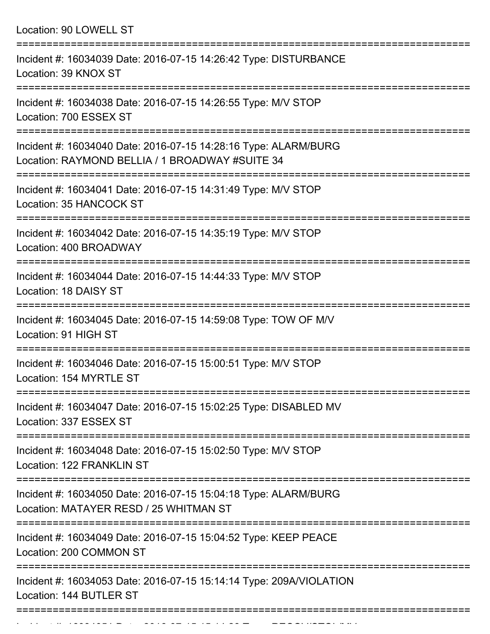Location: 90 LOWELL ST =========================================================================== Incident #: 16034039 Date: 2016-07-15 14:26:42 Type: DISTURBANCE Location: 39 KNOX ST =========================================================================== Incident #: 16034038 Date: 2016-07-15 14:26:55 Type: M/V STOP Location: 700 ESSEX ST =========================================================================== Incident #: 16034040 Date: 2016-07-15 14:28:16 Type: ALARM/BURG Location: RAYMOND BELLIA / 1 BROADWAY #SUITE 34 =========================================================================== Incident #: 16034041 Date: 2016-07-15 14:31:49 Type: M/V STOP Location: 35 HANCOCK ST =========================================================================== Incident #: 16034042 Date: 2016-07-15 14:35:19 Type: M/V STOP Location: 400 BROADWAY =========================================================================== Incident #: 16034044 Date: 2016-07-15 14:44:33 Type: M/V STOP Location: 18 DAISY ST =========================================================================== Incident #: 16034045 Date: 2016-07-15 14:59:08 Type: TOW OF M/V Location: 91 HIGH ST =========================================================================== Incident #: 16034046 Date: 2016-07-15 15:00:51 Type: M/V STOP Location: 154 MYRTLE ST =========================================================================== Incident #: 16034047 Date: 2016-07-15 15:02:25 Type: DISABLED MV Location: 337 ESSEX ST =========================================================================== Incident #: 16034048 Date: 2016-07-15 15:02:50 Type: M/V STOP Location: 122 FRANKLIN ST =========================================================================== Incident #: 16034050 Date: 2016-07-15 15:04:18 Type: ALARM/BURG Location: MATAYER RESD / 25 WHITMAN ST =========================================================================== Incident #: 16034049 Date: 2016-07-15 15:04:52 Type: KEEP PEACE Location: 200 COMMON ST =========================================================================== Incident #: 16034053 Date: 2016-07-15 15:14:14 Type: 209A/VIOLATION Location: 144 BUTLER ST

===========================================================================

Incident #: 16034051 Date: 2016 07 15 15 16 16 20 Type: RECOV/STOL/MV<br>.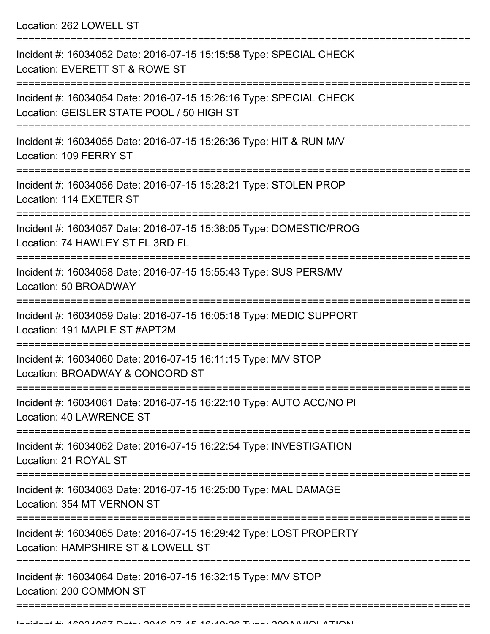Location: 262 LOWELL ST

| Incident #: 16034052 Date: 2016-07-15 15:15:58 Type: SPECIAL CHECK<br>Location: EVERETT ST & ROWE ST                                  |
|---------------------------------------------------------------------------------------------------------------------------------------|
| Incident #: 16034054 Date: 2016-07-15 15:26:16 Type: SPECIAL CHECK<br>Location: GEISLER STATE POOL / 50 HIGH ST                       |
| Incident #: 16034055 Date: 2016-07-15 15:26:36 Type: HIT & RUN M/V<br>Location: 109 FERRY ST                                          |
| Incident #: 16034056 Date: 2016-07-15 15:28:21 Type: STOLEN PROP<br>Location: 114 EXETER ST                                           |
| Incident #: 16034057 Date: 2016-07-15 15:38:05 Type: DOMESTIC/PROG<br>Location: 74 HAWLEY ST FL 3RD FL                                |
| Incident #: 16034058 Date: 2016-07-15 15:55:43 Type: SUS PERS/MV<br>Location: 50 BROADWAY                                             |
| Incident #: 16034059 Date: 2016-07-15 16:05:18 Type: MEDIC SUPPORT<br>Location: 191 MAPLE ST #APT2M                                   |
| Incident #: 16034060 Date: 2016-07-15 16:11:15 Type: M/V STOP<br>Location: BROADWAY & CONCORD ST                                      |
| Incident #: 16034061 Date: 2016-07-15 16:22:10 Type: AUTO ACC/NO PI<br>Location: 40 LAWRENCE ST                                       |
| ------------<br>Incident #: 16034062 Date: 2016-07-15 16:22:54 Type: INVESTIGATION<br>Location: 21 ROYAL ST                           |
| ====================================<br>Incident #: 16034063 Date: 2016-07-15 16:25:00 Type: MAL DAMAGE<br>Location: 354 MT VERNON ST |
| Incident #: 16034065 Date: 2016-07-15 16:29:42 Type: LOST PROPERTY<br>Location: HAMPSHIRE ST & LOWELL ST                              |
| Incident #: 16034064 Date: 2016-07-15 16:32:15 Type: M/V STOP<br>Location: 200 COMMON ST                                              |
|                                                                                                                                       |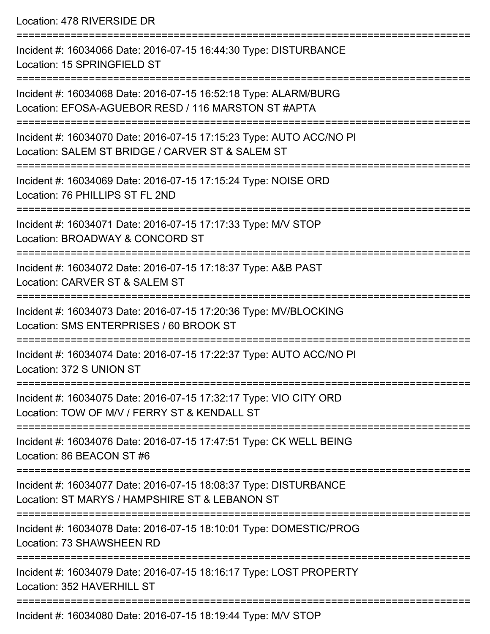Location: 478 RIVERSIDE DR =========================================================================== Incident #: 16034066 Date: 2016-07-15 16:44:30 Type: DISTURBANCE Location: 15 SPRINGFIELD ST =========================================================================== Incident #: 16034068 Date: 2016-07-15 16:52:18 Type: ALARM/BURG Location: EFOSA-AGUEBOR RESD / 116 MARSTON ST #APTA =========================================================================== Incident #: 16034070 Date: 2016-07-15 17:15:23 Type: AUTO ACC/NO PI Location: SALEM ST BRIDGE / CARVER ST & SALEM ST =========================================================================== Incident #: 16034069 Date: 2016-07-15 17:15:24 Type: NOISE ORD Location: 76 PHILLIPS ST FL 2ND =========================================================================== Incident #: 16034071 Date: 2016-07-15 17:17:33 Type: M/V STOP Location: BROADWAY & CONCORD ST =========================================================================== Incident #: 16034072 Date: 2016-07-15 17:18:37 Type: A&B PAST Location: CARVER ST & SALEM ST =========================================================================== Incident #: 16034073 Date: 2016-07-15 17:20:36 Type: MV/BLOCKING Location: SMS ENTERPRISES / 60 BROOK ST =========================================================================== Incident #: 16034074 Date: 2016-07-15 17:22:37 Type: AUTO ACC/NO PI Location: 372 S UNION ST =========================================================================== Incident #: 16034075 Date: 2016-07-15 17:32:17 Type: VIO CITY ORD Location: TOW OF M/V / FERRY ST & KENDALL ST =========================================================================== Incident #: 16034076 Date: 2016-07-15 17:47:51 Type: CK WELL BEING Location: 86 BEACON ST #6 =========================================================================== Incident #: 16034077 Date: 2016-07-15 18:08:37 Type: DISTURBANCE Location: ST MARYS / HAMPSHIRE ST & LEBANON ST =========================================================================== Incident #: 16034078 Date: 2016-07-15 18:10:01 Type: DOMESTIC/PROG Location: 73 SHAWSHEEN RD =========================================================================== Incident #: 16034079 Date: 2016-07-15 18:16:17 Type: LOST PROPERTY Location: 352 HAVERHILL ST ===========================================================================

Incident #: 16034080 Date: 2016-07-15 18:19:44 Type: M/V STOP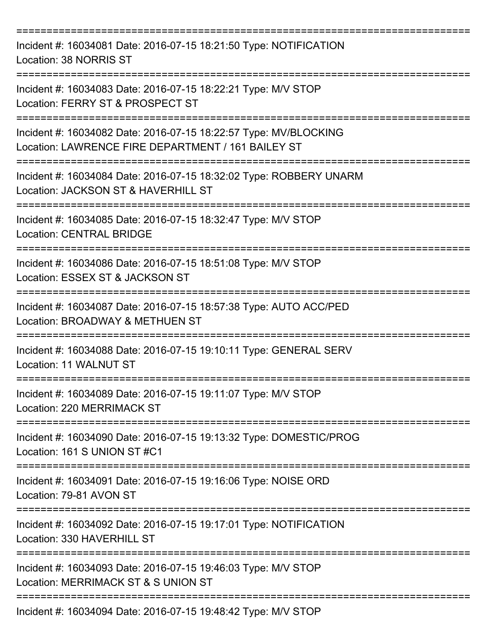| Incident #: 16034081 Date: 2016-07-15 18:21:50 Type: NOTIFICATION<br>Location: 38 NORRIS ST                                              |
|------------------------------------------------------------------------------------------------------------------------------------------|
| Incident #: 16034083 Date: 2016-07-15 18:22:21 Type: M/V STOP<br>Location: FERRY ST & PROSPECT ST                                        |
| ==============<br>Incident #: 16034082 Date: 2016-07-15 18:22:57 Type: MV/BLOCKING<br>Location: LAWRENCE FIRE DEPARTMENT / 161 BAILEY ST |
| Incident #: 16034084 Date: 2016-07-15 18:32:02 Type: ROBBERY UNARM<br>Location: JACKSON ST & HAVERHILL ST                                |
| Incident #: 16034085 Date: 2016-07-15 18:32:47 Type: M/V STOP<br><b>Location: CENTRAL BRIDGE</b>                                         |
| Incident #: 16034086 Date: 2016-07-15 18:51:08 Type: M/V STOP<br>Location: ESSEX ST & JACKSON ST                                         |
| Incident #: 16034087 Date: 2016-07-15 18:57:38 Type: AUTO ACC/PED<br>Location: BROADWAY & METHUEN ST                                     |
| Incident #: 16034088 Date: 2016-07-15 19:10:11 Type: GENERAL SERV<br><b>Location: 11 WALNUT ST</b>                                       |
| Incident #: 16034089 Date: 2016-07-15 19:11:07 Type: M/V STOP<br>Location: 220 MERRIMACK ST                                              |
| Incident #: 16034090 Date: 2016-07-15 19:13:32 Type: DOMESTIC/PROG<br>Location: 161 S UNION ST #C1                                       |
| Incident #: 16034091 Date: 2016-07-15 19:16:06 Type: NOISE ORD<br>Location: 79-81 AVON ST                                                |
| Incident #: 16034092 Date: 2016-07-15 19:17:01 Type: NOTIFICATION<br>Location: 330 HAVERHILL ST                                          |
| Incident #: 16034093 Date: 2016-07-15 19:46:03 Type: M/V STOP<br>Location: MERRIMACK ST & S UNION ST                                     |
| Incident #: 16034094 Date: 2016-07-15 19:48:42 Type: M/V STOP                                                                            |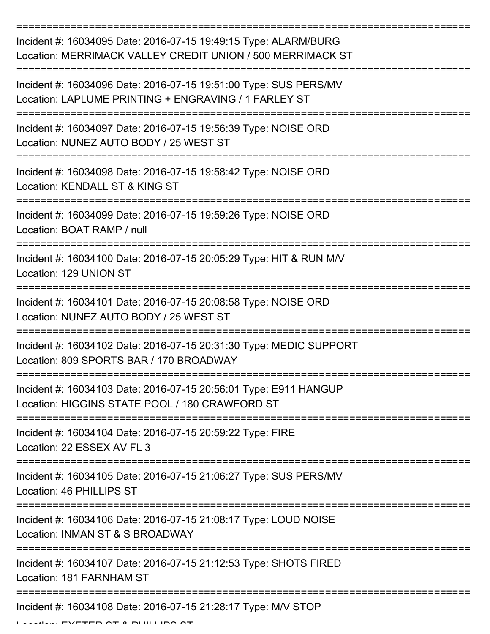| Incident #: 16034095 Date: 2016-07-15 19:49:15 Type: ALARM/BURG<br>Location: MERRIMACK VALLEY CREDIT UNION / 500 MERRIMACK ST |
|-------------------------------------------------------------------------------------------------------------------------------|
| Incident #: 16034096 Date: 2016-07-15 19:51:00 Type: SUS PERS/MV<br>Location: LAPLUME PRINTING + ENGRAVING / 1 FARLEY ST      |
| Incident #: 16034097 Date: 2016-07-15 19:56:39 Type: NOISE ORD<br>Location: NUNEZ AUTO BODY / 25 WEST ST                      |
| Incident #: 16034098 Date: 2016-07-15 19:58:42 Type: NOISE ORD<br>Location: KENDALL ST & KING ST                              |
| Incident #: 16034099 Date: 2016-07-15 19:59:26 Type: NOISE ORD<br>Location: BOAT RAMP / null                                  |
| Incident #: 16034100 Date: 2016-07-15 20:05:29 Type: HIT & RUN M/V<br>Location: 129 UNION ST                                  |
| Incident #: 16034101 Date: 2016-07-15 20:08:58 Type: NOISE ORD<br>Location: NUNEZ AUTO BODY / 25 WEST ST                      |
| Incident #: 16034102 Date: 2016-07-15 20:31:30 Type: MEDIC SUPPORT<br>Location: 809 SPORTS BAR / 170 BROADWAY                 |
| Incident #: 16034103 Date: 2016-07-15 20:56:01 Type: E911 HANGUP<br>Location: HIGGINS STATE POOL / 180 CRAWFORD ST            |
| Incident #: 16034104 Date: 2016-07-15 20:59:22 Type: FIRE<br>Location: 22 ESSEX AV FL 3                                       |
| Incident #: 16034105 Date: 2016-07-15 21:06:27 Type: SUS PERS/MV<br>Location: 46 PHILLIPS ST                                  |
| Incident #: 16034106 Date: 2016-07-15 21:08:17 Type: LOUD NOISE<br>Location: INMAN ST & S BROADWAY                            |
| Incident #: 16034107 Date: 2016-07-15 21:12:53 Type: SHOTS FIRED<br>Location: 181 FARNHAM ST                                  |
| ================<br>Incident #: 16034108 Date: 2016-07-15 21:28:17 Type: M/V STOP                                             |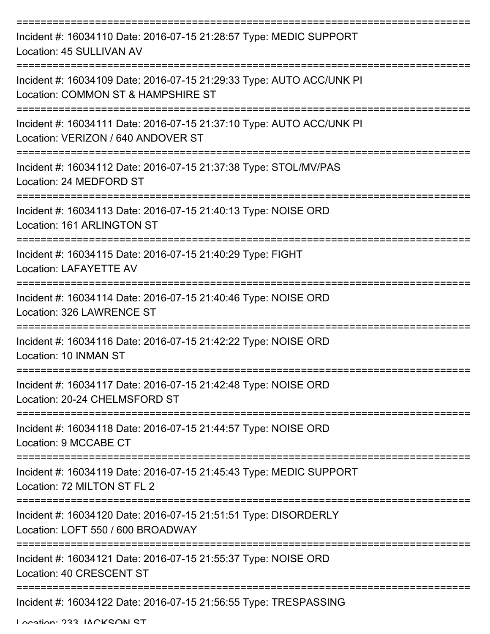| Incident #: 16034110 Date: 2016-07-15 21:28:57 Type: MEDIC SUPPORT<br>Location: 45 SULLIVAN AV             |
|------------------------------------------------------------------------------------------------------------|
| Incident #: 16034109 Date: 2016-07-15 21:29:33 Type: AUTO ACC/UNK PI<br>Location: COMMON ST & HAMPSHIRE ST |
| Incident #: 16034111 Date: 2016-07-15 21:37:10 Type: AUTO ACC/UNK PI<br>Location: VERIZON / 640 ANDOVER ST |
| Incident #: 16034112 Date: 2016-07-15 21:37:38 Type: STOL/MV/PAS<br>Location: 24 MEDFORD ST                |
| Incident #: 16034113 Date: 2016-07-15 21:40:13 Type: NOISE ORD<br>Location: 161 ARLINGTON ST               |
| Incident #: 16034115 Date: 2016-07-15 21:40:29 Type: FIGHT<br><b>Location: LAFAYETTE AV</b>                |
| Incident #: 16034114 Date: 2016-07-15 21:40:46 Type: NOISE ORD<br>Location: 326 LAWRENCE ST                |
| Incident #: 16034116 Date: 2016-07-15 21:42:22 Type: NOISE ORD<br>Location: 10 INMAN ST                    |
| Incident #: 16034117 Date: 2016-07-15 21:42:48 Type: NOISE ORD<br>Location: 20-24 CHELMSFORD ST            |
| Incident #: 16034118 Date: 2016-07-15 21:44:57 Type: NOISE ORD<br>Location: 9 MCCABE CT                    |
| Incident #: 16034119 Date: 2016-07-15 21:45:43 Type: MEDIC SUPPORT<br>Location: 72 MILTON ST FL 2          |
| Incident #: 16034120 Date: 2016-07-15 21:51:51 Type: DISORDERLY<br>Location: LOFT 550 / 600 BROADWAY       |
| Incident #: 16034121 Date: 2016-07-15 21:55:37 Type: NOISE ORD<br>Location: 40 CRESCENT ST                 |
| Incident #: 16034122 Date: 2016-07-15 21:56:55 Type: TRESPASSING                                           |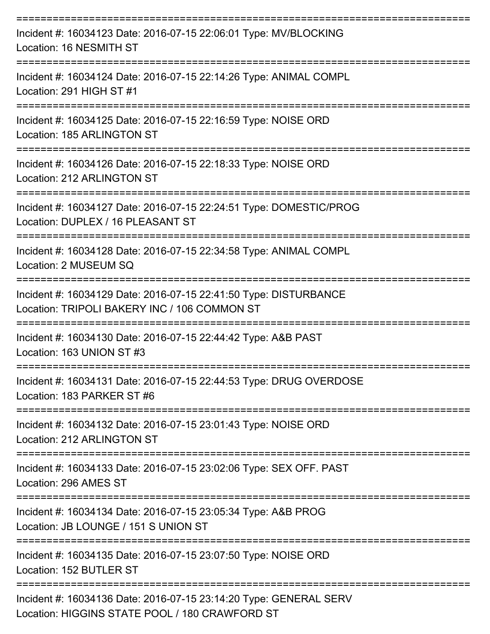| Incident #: 16034123 Date: 2016-07-15 22:06:01 Type: MV/BLOCKING<br>Location: 16 NESMITH ST                                                              |
|----------------------------------------------------------------------------------------------------------------------------------------------------------|
| Incident #: 16034124 Date: 2016-07-15 22:14:26 Type: ANIMAL COMPL<br>Location: 291 HIGH ST #1                                                            |
| Incident #: 16034125 Date: 2016-07-15 22:16:59 Type: NOISE ORD<br>Location: 185 ARLINGTON ST                                                             |
| Incident #: 16034126 Date: 2016-07-15 22:18:33 Type: NOISE ORD<br>Location: 212 ARLINGTON ST                                                             |
| Incident #: 16034127 Date: 2016-07-15 22:24:51 Type: DOMESTIC/PROG<br>Location: DUPLEX / 16 PLEASANT ST                                                  |
| Incident #: 16034128 Date: 2016-07-15 22:34:58 Type: ANIMAL COMPL<br>Location: 2 MUSEUM SQ                                                               |
| Incident #: 16034129 Date: 2016-07-15 22:41:50 Type: DISTURBANCE<br>Location: TRIPOLI BAKERY INC / 106 COMMON ST                                         |
| Incident #: 16034130 Date: 2016-07-15 22:44:42 Type: A&B PAST<br>Location: 163 UNION ST #3                                                               |
| Incident #: 16034131 Date: 2016-07-15 22:44:53 Type: DRUG OVERDOSE<br>Location: 183 PARKER ST #6                                                         |
| ====================<br>================================<br>Incident #: 16034132 Date: 2016-07-15 23:01:43 Type: NOISE ORD<br>Location: 212 ARLINGTON ST |
| Incident #: 16034133 Date: 2016-07-15 23:02:06 Type: SEX OFF. PAST<br>Location: 296 AMES ST                                                              |
| Incident #: 16034134 Date: 2016-07-15 23:05:34 Type: A&B PROG<br>Location: JB LOUNGE / 151 S UNION ST                                                    |
| Incident #: 16034135 Date: 2016-07-15 23:07:50 Type: NOISE ORD<br>Location: 152 BUTLER ST                                                                |
| Incident #: 16034136 Date: 2016-07-15 23:14:20 Type: GENERAL SERV<br>Location: HIGGINS STATE POOL / 180 CRAWFORD ST                                      |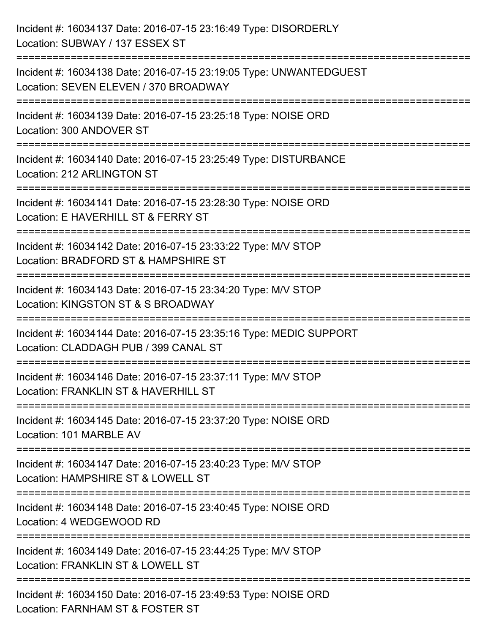| Incident #: 16034137 Date: 2016-07-15 23:16:49 Type: DISORDERLY<br>Location: SUBWAY / 137 ESSEX ST                          |
|-----------------------------------------------------------------------------------------------------------------------------|
| Incident #: 16034138 Date: 2016-07-15 23:19:05 Type: UNWANTEDGUEST<br>Location: SEVEN ELEVEN / 370 BROADWAY                 |
| Incident #: 16034139 Date: 2016-07-15 23:25:18 Type: NOISE ORD<br>Location: 300 ANDOVER ST                                  |
| Incident #: 16034140 Date: 2016-07-15 23:25:49 Type: DISTURBANCE<br>Location: 212 ARLINGTON ST                              |
| Incident #: 16034141 Date: 2016-07-15 23:28:30 Type: NOISE ORD<br>Location: E HAVERHILL ST & FERRY ST                       |
| Incident #: 16034142 Date: 2016-07-15 23:33:22 Type: M/V STOP<br>Location: BRADFORD ST & HAMPSHIRE ST                       |
| Incident #: 16034143 Date: 2016-07-15 23:34:20 Type: M/V STOP<br>Location: KINGSTON ST & S BROADWAY<br>==================== |
| Incident #: 16034144 Date: 2016-07-15 23:35:16 Type: MEDIC SUPPORT<br>Location: CLADDAGH PUB / 399 CANAL ST                 |
| Incident #: 16034146 Date: 2016-07-15 23:37:11 Type: M/V STOP<br>Location: FRANKLIN ST & HAVERHILL ST                       |
| Incident #: 16034145 Date: 2016-07-15 23:37:20 Type: NOISE ORD<br>Location: 101 MARBLE AV                                   |
| Incident #: 16034147 Date: 2016-07-15 23:40:23 Type: M/V STOP<br>Location: HAMPSHIRE ST & LOWELL ST                         |
| Incident #: 16034148 Date: 2016-07-15 23:40:45 Type: NOISE ORD<br>Location: 4 WEDGEWOOD RD                                  |
| Incident #: 16034149 Date: 2016-07-15 23:44:25 Type: M/V STOP<br>Location: FRANKLIN ST & LOWELL ST                          |
| Incident #: 16034150 Date: 2016-07-15 23:49:53 Type: NOISE ORD<br>Location: FARNHAM ST & FOSTER ST                          |